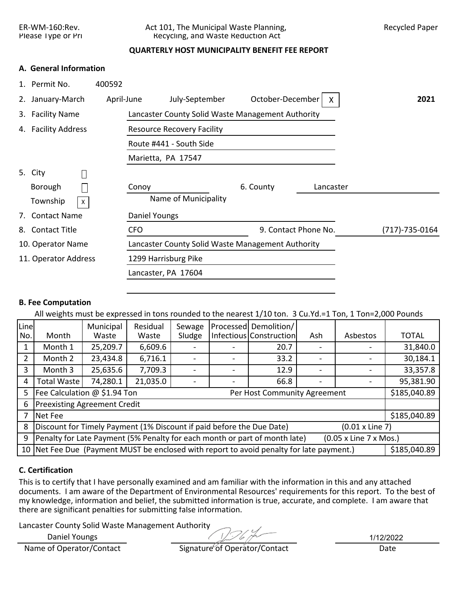ER-WM-160:Rev. Act 101, The Municipal Waste Planning, Recycled Paper Please Type or Pri Recycling, and Waste Reduction Act

## **QUARTERLY HOST MUNICIPALITY BENEFIT FEE REPORT**

## **A. General Information**

| 1. Permit No.        | 400592     |                                                   |                      |           |                |
|----------------------|------------|---------------------------------------------------|----------------------|-----------|----------------|
| 2. January-March     | April-June | July-September                                    | October-December     | X         | 2021           |
| 3. Facility Name     |            | Lancaster County Solid Waste Management Authority |                      |           |                |
| 4. Facility Address  |            | <b>Resource Recovery Facility</b>                 |                      |           |                |
|                      |            | Route #441 - South Side                           |                      |           |                |
|                      |            | Marietta, PA 17547                                |                      |           |                |
| 5. City              |            |                                                   |                      |           |                |
| Borough              |            | Conoy                                             | 6. County            | Lancaster |                |
| Township<br>X        |            | Name of Municipality                              |                      |           |                |
| 7. Contact Name      |            | Daniel Youngs                                     |                      |           |                |
| 8. Contact Title     |            | <b>CFO</b>                                        | 9. Contact Phone No. |           | (717)-735-0164 |
| 10. Operator Name    |            | Lancaster County Solid Waste Management Authority |                      |           |                |
| 11. Operator Address |            | 1299 Harrisburg Pike                              |                      |           |                |
|                      |            | Lancaster, PA 17604                               |                      |           |                |

## **B. Fee Computation**

All weights must be expressed in tons rounded to the nearest 1/10 ton. 3 Cu.Yd.=1 Ton, 1 Ton=2,000 Pounds

| Line |                                                                                                      | Municipal | Residual | Sewage |  | Processed Demolition/                                                                    |     |          |              |  |
|------|------------------------------------------------------------------------------------------------------|-----------|----------|--------|--|------------------------------------------------------------------------------------------|-----|----------|--------------|--|
| No.  | Month                                                                                                | Waste     | Waste    | Sludge |  | Infectious Construction                                                                  | Ash | Asbestos | <b>TOTAL</b> |  |
|      | Month 1                                                                                              | 25,209.7  | 6,609.6  |        |  | 20.7                                                                                     |     |          | 31,840.0     |  |
|      | Month 2                                                                                              | 23,434.8  | 6,716.1  |        |  | 33.2                                                                                     |     |          | 30,184.1     |  |
| 3    | Month 3                                                                                              | 25,635.6  | 7,709.3  |        |  | 12.9                                                                                     |     |          | 33,357.8     |  |
| 4    | <b>Total Waste</b>                                                                                   | 74,280.1  | 21,035.0 |        |  | 66.8                                                                                     |     |          | 95,381.90    |  |
| 5    | Fee Calculation @ \$1.94 Ton                                                                         |           |          |        |  | Per Host Community Agreement                                                             |     |          | \$185,040.89 |  |
| 6    | <b>Preexisting Agreement Credit</b>                                                                  |           |          |        |  |                                                                                          |     |          |              |  |
|      | Net Fee                                                                                              |           |          |        |  |                                                                                          |     |          | \$185,040.89 |  |
| 8    | Discount for Timely Payment (1% Discount if paid before the Due Date)<br>$(0.01 \times$ Line 7)      |           |          |        |  |                                                                                          |     |          |              |  |
| 9    | Penalty for Late Payment (5% Penalty for each month or part of month late)<br>(0.05 x Line 7 x Mos.) |           |          |        |  |                                                                                          |     |          |              |  |
|      |                                                                                                      |           |          |        |  | 10 Net Fee Due (Payment MUST be enclosed with report to avoid penalty for late payment.) |     |          | \$185,040.89 |  |

# **C. Certification**

This is to certify that I have personally examined and am familiar with the information in this and any attached documents. I am aware of the Department of Environmental Resources' requirements for this report. To the best of my knowledge, information and belief, the submitted information is true, accurate, and complete. I am aware that there are significant penalties for submitting false information.

Lancaster County Solid Waste Management Authority

Daniel Youngs

 $7267$ 

1/12/2022

| Name of Operator/Contact | Signature of Operator/Contact | Date |
|--------------------------|-------------------------------|------|
|--------------------------|-------------------------------|------|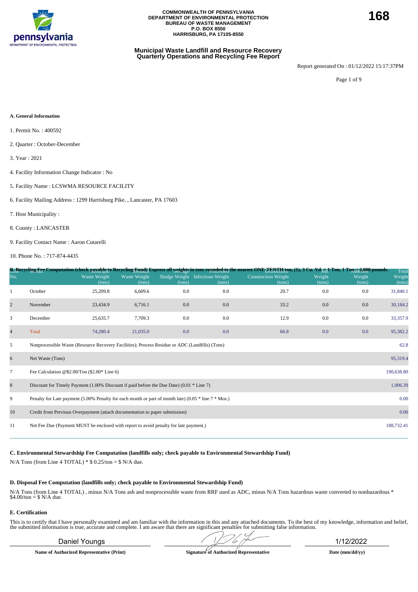

#### **Municipal Waste Landfill and Resource Recovery Quarterly Operations and Recycling Fee Report**

Report generated On : 01/12/2022 15:17:37PM

Page 1 of 9

#### **A. General Information**

- 1. Permit No. : 400592
- 2. Quarter : October-December
- 3. Year : 2021
- 4. Facility Information Change Indicator : No
- 5. Facility Name : LCSWMA RESOURCE FACILITY
- 6. Facility Mailing Address : 1299 Harrisburg Pike, , Lancaster, PA 17603
- 7. Host Municipality :
- 8. County : LANCASTER
- 9. Facility Contact Name : Aaron Cutarelli

10. Phone No. : 717-874-4435

|                |                                                                                                          |                               |                        |        |                                           | B <sub>L</sub> Recycling Fre Computation (check payable to Recycling Eund) Express all <u>weights</u> in tons rounded to the nearest ONE LENTH from (1), 3 Cu. Yd <sub>AUI</sub> Ton, 1 Ton 52 Red to ownds. |                  |                  | Total            |
|----------------|----------------------------------------------------------------------------------------------------------|-------------------------------|------------------------|--------|-------------------------------------------|--------------------------------------------------------------------------------------------------------------------------------------------------------------------------------------------------------------|------------------|------------------|------------------|
| No.            |                                                                                                          | <b>Waste Weight</b><br>(tons) | Waste Weight<br>(tons) | (tons) | Sludge Weight Infectious Weight<br>(tons) | <b>Construction Weight</b><br>(tons)                                                                                                                                                                         | Weight<br>(tons) | Weight<br>(tons) | Weight<br>(tons) |
| 1              | October                                                                                                  | 25,209.8                      | 6,609.6                | 0.0    | 0.0                                       | 20.7                                                                                                                                                                                                         | 0.0              | 0.0              | 31,840.1         |
| $\overline{2}$ | November                                                                                                 | 23,434.9                      | 6,716.1                | 0.0    | 0.0                                       | 33.2                                                                                                                                                                                                         | 0.0              | 0.0              | 30,184.2         |
| 3              | December                                                                                                 | 25,635.7                      | 7,709.3                | 0.0    | 0.0                                       | 12.9                                                                                                                                                                                                         | 0.0              | 0.0              | 33,357.9         |
| $\overline{4}$ | Total                                                                                                    | 74,280.4                      | 21,035.0               | 0.0    | 0.0                                       | 66.8                                                                                                                                                                                                         | 0.0              | 0.0              | 95,382.2         |
| 5              | Nonprocessible Waste (Resource Recovery Facilities); Process Residue or ADC (Landfills) (Tons)           |                               |                        |        |                                           |                                                                                                                                                                                                              |                  |                  | 62.8             |
| 6              | Net Waste (Tons)                                                                                         |                               |                        |        |                                           |                                                                                                                                                                                                              |                  |                  | 95,319.4         |
| $\tau$         | Fee Calculation @\$2.00/Ton $(\$2.00*$ Line 6)                                                           |                               |                        |        |                                           |                                                                                                                                                                                                              |                  |                  | 190,638.80       |
| 8              | Discount for Timely Payment $(1.00\%$ Discount if paid before the Due Date) $(0.01 * Line 7)$            |                               |                        |        |                                           |                                                                                                                                                                                                              |                  |                  | 1,906.39         |
| 9              | Penalty for Late payment (5.00% Penalty for each month or part of month late) (0.05 $*$ line 7 $*$ Mos.) |                               |                        |        |                                           |                                                                                                                                                                                                              |                  |                  | 0.00             |
| 10             | Credit from Previous Overpayment (attach documentation to paper submission)                              |                               |                        |        |                                           |                                                                                                                                                                                                              |                  |                  | 0.00             |
| 11             | Net Fee Due (Payment MUST be enclosed with report to avoid penalty for late payment.)                    |                               |                        |        |                                           |                                                                                                                                                                                                              |                  |                  | 188,732.41       |
|                |                                                                                                          |                               |                        |        |                                           |                                                                                                                                                                                                              |                  |                  |                  |

**C. Environmental Stewardship Fee Computation (landfills only; check payable to Environmental Stewardship Fund)**

N/A Tons (from Line 4 TOTAL)  $*$  \$ 0.25/ton = \$ N/A due.

#### **D. Disposal Fee Computation (landfills only; check payable to Environmental Stewardship Fund)**

N/A Tons (from Line 4 TOTAL) , minus N/A Tons ash and nonprocessible waste from RRF used as ADC, minus N/A Tons hazardous waste converted to nonhazardous \* \$4.00/ton = \$ N/A due.

#### **E. Certification**

This is to certify that I have personally examined and am familiar with the information in this and any attached documents. To the best of my knowledge, information and belief, the submitted information is true, accurate a

### Daniel Youngs 20112/2022

**Name of Authorized Representative (Print) Signature of Authorized Representative Date (mm/dd/yy)**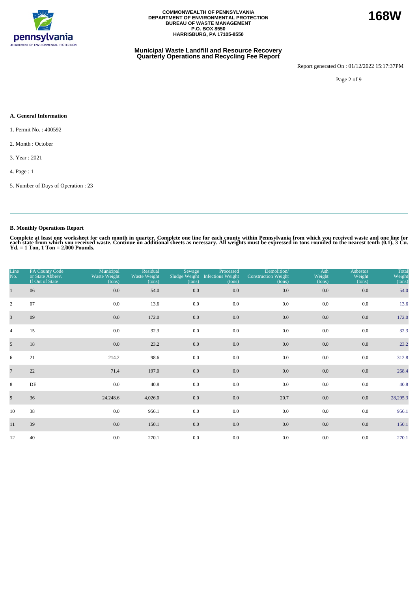

#### **Municipal Waste Landfill and Resource Recovery Quarterly Operations and Recycling Fee Report**

Report generated On : 01/12/2022 15:17:37PM

Page 2 of 9

#### **A. General Information**

- 1. Permit No. : 400592
- 2. Month : October
- 3. Year : 2021
- 4. Page : 1
- 5. Number of Days of Operation : 23

### **B. Monthly Operations Report**

| Line<br>No.     | PA County Code<br>or State Abbrev.<br>If Out of State | Municipal<br>Waste Weight<br>(tons) | Residual<br>Waste Weight<br>(tons) | Sewage<br>Sludge Weight<br>(tons) | Processed<br><b>Infectious Weight</b><br>(tons) | Demolition/<br><b>Construction Weight</b><br>(tons) | Ash<br>Weight<br>(tons) | <b>Asbestos</b><br>Weight<br>(tons) | Total<br>Weight<br>(tons) |
|-----------------|-------------------------------------------------------|-------------------------------------|------------------------------------|-----------------------------------|-------------------------------------------------|-----------------------------------------------------|-------------------------|-------------------------------------|---------------------------|
| $\mathbf{1}$    | 06                                                    | $0.0\,$                             | 54.0                               | 0.0                               | 0.0                                             | $0.0\,$                                             | 0.0                     | 0.0                                 | 54.0                      |
| $\overline{2}$  | 07                                                    | 0.0                                 | 13.6                               | 0.0                               | 0.0                                             | 0.0                                                 | 0.0                     | 0.0                                 | 13.6                      |
| $\overline{3}$  | 09                                                    | 0.0                                 | 172.0                              | 0.0                               | 0.0                                             | 0.0                                                 | 0.0                     | 0.0                                 | 172.0                     |
| $\overline{4}$  | 15                                                    | 0.0                                 | 32.3                               | 0.0                               | 0.0                                             | 0.0                                                 | 0.0                     | 0.0                                 | 32.3                      |
| 5 <sup>5</sup>  | 18                                                    | 0.0                                 | 23.2                               | 0.0                               | 0.0                                             | 0.0                                                 | $0.0\,$                 | 0.0                                 | 23.2                      |
| 6               | 21                                                    | 214.2                               | 98.6                               | 0.0                               | 0.0                                             | 0.0                                                 | 0.0                     | 0.0                                 | 312.8                     |
| $7\overline{ }$ | 22                                                    | 71.4                                | 197.0                              | 0.0                               | 0.0                                             | 0.0                                                 | 0.0                     | 0.0                                 | 268.4                     |
| 8               | DE                                                    | 0.0                                 | 40.8                               | 0.0                               | 0.0                                             | 0.0                                                 | 0.0                     | 0.0                                 | 40.8                      |
| 9               | 36                                                    | 24,248.6                            | 4,026.0                            | 0.0                               | 0.0                                             | 20.7                                                | 0.0                     | 0.0                                 | 28,295.3                  |
| 10              | 38                                                    | $0.0\,$                             | 956.1                              | 0.0                               | 0.0                                             | 0.0                                                 | $0.0\,$                 | 0.0                                 | 956.1                     |
| 11              | 39                                                    | 0.0                                 | 150.1                              | 0.0                               | 0.0                                             | 0.0                                                 | $0.0\,$                 | 0.0                                 | 150.1                     |
| 12              | 40                                                    | 0.0                                 | 270.1                              | 0.0                               | $0.0\,$                                         | 0.0                                                 | 0.0                     | 0.0                                 | 270.1                     |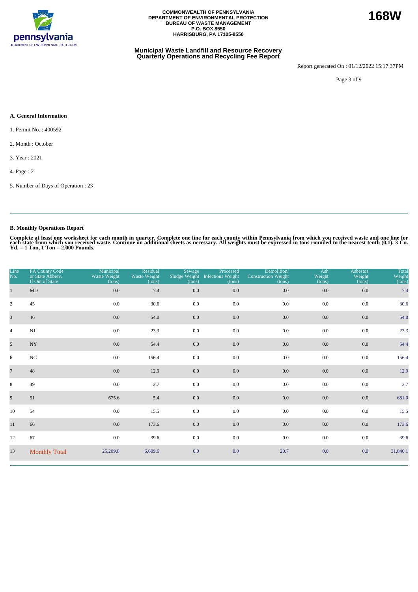

#### **Municipal Waste Landfill and Resource Recovery Quarterly Operations and Recycling Fee Report**

Report generated On : 01/12/2022 15:17:37PM

Page 3 of 9

#### **A. General Information**

- 1. Permit No. : 400592
- 2. Month : October
- 3. Year : 2021
- 4. Page : 2
- 5. Number of Days of Operation : 23

### **B. Monthly Operations Report**

Complete at least one worksheet for each month in quarter. Complete one line for each county within Pennsylvania from which you received waste and one line for<br>each state from which you received waste. Continue on addition

| Line<br>No.             | PA County Code<br>or State Abbrev.<br>If Out of State | Municipal<br>Waste Weight<br>(tons) | Residual<br>Waste Weight<br>(tons) | Sewage<br>(tons) | Processed<br>Sludge Weight Infectious Weight<br>(tons) | Demolition/<br><b>Construction Weight</b><br>(tons) | Ash<br>Weight<br>(tons) | <b>Asbestos</b><br>Weight<br>(tons) | Total<br>Weight<br>(tons) |
|-------------------------|-------------------------------------------------------|-------------------------------------|------------------------------------|------------------|--------------------------------------------------------|-----------------------------------------------------|-------------------------|-------------------------------------|---------------------------|
| $\mathbf{1}$            | $\mbox{MD}$                                           | 0.0                                 | 7.4                                | 0.0              | 0.0                                                    | 0.0                                                 | 0.0                     | 0.0                                 | 7.4                       |
| $\mathbf{2}$            | 45                                                    | 0.0                                 | 30.6                               | 0.0              | $0.0\,$                                                | 0.0                                                 | 0.0                     | 0.0                                 | 30.6                      |
| $\overline{\mathbf{3}}$ | 46                                                    | 0.0                                 | 54.0                               | 0.0              | $0.0\,$                                                | 0.0                                                 | 0.0                     | $0.0\,$                             | 54.0                      |
| $\overline{4}$          | NJ                                                    | 0.0                                 | 23.3                               | 0.0              | 0.0                                                    | 0.0                                                 | 0.0                     | 0.0                                 | 23.3                      |
| 5 <sup>5</sup>          | $_{\mathrm{NY}}$                                      | $0.0\,$                             | 54.4                               | 0.0              | $0.0\,$                                                | 0.0                                                 | 0.0                     | $0.0\,$                             | 54.4                      |
| 6                       | $_{\mathrm{NC}}$                                      | 0.0                                 | 156.4                              | 0.0              | 0.0                                                    | 0.0                                                 | 0.0                     | 0.0                                 | 156.4                     |
| $7\overline{ }$         | 48                                                    | 0.0                                 | 12.9                               | 0.0              | 0.0                                                    | 0.0                                                 | 0.0                     | 0.0                                 | 12.9                      |
| 8                       | 49                                                    | 0.0                                 | 2.7                                | 0.0              | 0.0                                                    | 0.0                                                 | 0.0                     | 0.0                                 | 2.7                       |
| 9                       | 51                                                    | 675.6                               | 5.4                                | 0.0              | 0.0                                                    | 0.0                                                 | 0.0                     | 0.0                                 | 681.0                     |
| 10                      | 54                                                    | 0.0                                 | 15.5                               | 0.0              | 0.0                                                    | 0.0                                                 | 0.0                     | 0.0                                 | 15.5                      |
| 11                      | 66                                                    | 0.0                                 | 173.6                              | 0.0              | $0.0\,$                                                | 0.0                                                 | 0.0                     | 0.0                                 | 173.6                     |
| 12                      | 67                                                    | 0.0                                 | 39.6                               | 0.0              | 0.0                                                    | 0.0                                                 | 0.0                     | 0.0                                 | 39.6                      |
| 13                      | <b>Monthly Total</b>                                  | 25,209.8                            | 6,609.6                            | 0.0              | 0.0                                                    | 20.7                                                | 0.0                     | 0.0                                 | 31,840.1                  |

**168W**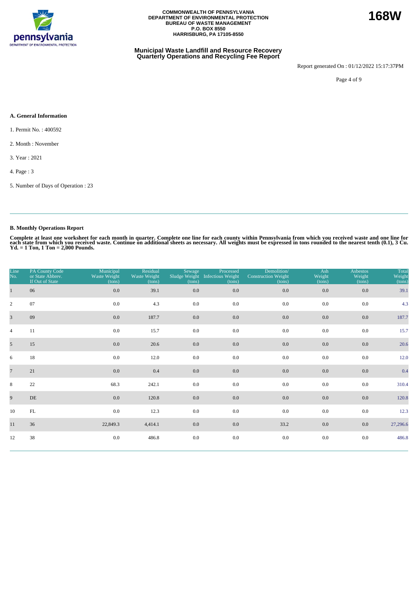

#### **Municipal Waste Landfill and Resource Recovery Quarterly Operations and Recycling Fee Report**

Report generated On : 01/12/2022 15:17:37PM

Page 4 of 9

#### **A. General Information**

- 1. Permit No. : 400592
- 2. Month : November
- 3. Year : 2021
- 4. Page : 3
- 5. Number of Days of Operation : 23

### **B. Monthly Operations Report**

| Line<br>No.    | PA County Code<br>or State Abbrev.<br>If Out of State | Municipal<br>Waste Weight<br>(tons) | Residual<br>Waste Weight<br>(tons) | Sewage<br>(tons) | Processed<br>Sludge Weight Infectious Weight<br>(tons) | Demolition/<br><b>Construction Weight</b><br>(tons) | Ash<br>Weight<br>(tons) | <b>Asbestos</b><br>Weight<br>(tons) | Total<br>Weight<br>(tons) |
|----------------|-------------------------------------------------------|-------------------------------------|------------------------------------|------------------|--------------------------------------------------------|-----------------------------------------------------|-------------------------|-------------------------------------|---------------------------|
| $\mathbf{1}$   | 06                                                    | $0.0\,$                             | 39.1                               | 0.0              | 0.0                                                    | 0.0                                                 | 0.0                     | 0.0                                 | 39.1                      |
| $\overline{c}$ | 07                                                    | 0.0                                 | 4.3                                | 0.0              | 0.0                                                    | 0.0                                                 | 0.0                     | 0.0                                 | 4.3                       |
| $\overline{3}$ | 09                                                    | 0.0                                 | 187.7                              | 0.0              | 0.0                                                    | $0.0\,$                                             | 0.0                     | 0.0                                 | 187.7                     |
| $\overline{4}$ | 11                                                    | 0.0                                 | 15.7                               | 0.0              | 0.0                                                    | 0.0                                                 | 0.0                     | 0.0                                 | 15.7                      |
| 5 <sup>5</sup> | 15                                                    | 0.0                                 | 20.6                               | 0.0              | 0.0                                                    | 0.0                                                 | 0.0                     | 0.0                                 | 20.6                      |
| 6              | 18                                                    | 0.0                                 | 12.0                               | 0.0              | 0.0                                                    | 0.0                                                 | 0.0                     | 0.0                                 | 12.0                      |
| $\overline{7}$ | 21                                                    | 0.0                                 | 0.4                                | $0.0\,$          | 0.0                                                    | $0.0\,$                                             | 0.0                     | 0.0                                 | 0.4                       |
| 8              | 22                                                    | 68.3                                | 242.1                              | 0.0              | 0.0                                                    | 0.0                                                 | 0.0                     | 0.0                                 | 310.4                     |
| 9              | DE                                                    | 0.0                                 | 120.8                              | 0.0              | 0.0                                                    | $0.0\,$                                             | 0.0                     | 0.0                                 | 120.8                     |
| 10             | FL                                                    | 0.0                                 | 12.3                               | 0.0              | 0.0                                                    | 0.0                                                 | 0.0                     | 0.0                                 | 12.3                      |
| 11             | 36                                                    | 22,849.3                            | 4,414.1                            | $0.0\,$          | 0.0                                                    | 33.2                                                | 0.0                     | 0.0                                 | 27,296.6                  |
| 12             | 38                                                    | 0.0                                 | 486.8                              | 0.0              | 0.0                                                    | 0.0                                                 | 0.0                     | 0.0                                 | 486.8                     |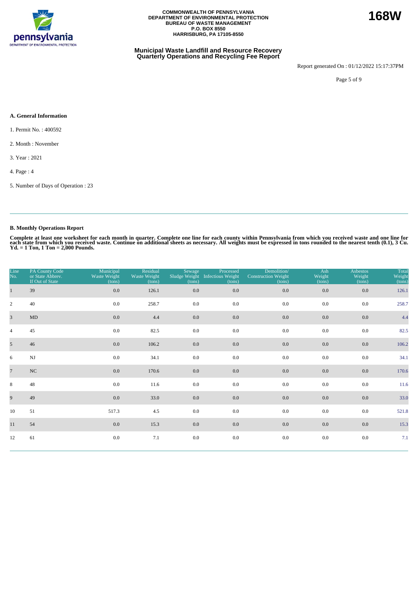

#### **Municipal Waste Landfill and Resource Recovery Quarterly Operations and Recycling Fee Report**

Report generated On : 01/12/2022 15:17:37PM

**168W**

Page 5 of 9

#### **A. General Information**

- 1. Permit No. : 400592
- 2. Month : November
- 3. Year : 2021
- 4. Page : 4
- 5. Number of Days of Operation : 23

### **B. Monthly Operations Report**

| Line<br>No.     | PA County Code<br>or State Abbrev.<br>If Out of State | Municipal<br>Waste Weight<br>(tons) | Residual<br>Waste Weight<br>(tons) | Sewage<br>(tons) | Processed<br>Sludge Weight Infectious Weight<br>(tons) | Demolition/<br><b>Construction Weight</b><br>(tons) | Ash<br>Weight<br>(tons) | <b>Asbestos</b><br>Weight<br>(tons) | Total<br>Weight<br>(tons) |
|-----------------|-------------------------------------------------------|-------------------------------------|------------------------------------|------------------|--------------------------------------------------------|-----------------------------------------------------|-------------------------|-------------------------------------|---------------------------|
|                 | 39                                                    | 0.0                                 | 126.1                              | 0.0              | 0.0                                                    | $0.0\,$                                             | 0.0                     | 0.0                                 | 126.1                     |
| $\overline{c}$  | 40                                                    | 0.0                                 | 258.7                              | 0.0              | 0.0                                                    | 0.0                                                 | 0.0                     | 0.0                                 | 258.7                     |
| $\overline{3}$  | $\mbox{MD}$                                           | 0.0                                 | 4.4                                | 0.0              | 0.0                                                    | $0.0\,$                                             | 0.0                     | 0.0                                 | 4.4                       |
| $\overline{4}$  | 45                                                    | 0.0                                 | 82.5                               | 0.0              | 0.0                                                    | 0.0                                                 | 0.0                     | 0.0                                 | 82.5                      |
| 5 <sup>5</sup>  | 46                                                    | 0.0                                 | 106.2                              | $0.0\,$          | 0.0                                                    | 0.0                                                 | $0.0\,$                 | 0.0                                 | 106.2                     |
| 6               | $\mathbf{N}\mathbf{J}$                                | 0.0                                 | 34.1                               | 0.0              | 0.0                                                    | 0.0                                                 | 0.0                     | 0.0                                 | 34.1                      |
| $7\overline{ }$ | NC                                                    | 0.0                                 | 170.6                              | $0.0\,$          | 0.0                                                    | 0.0                                                 | 0.0                     | 0.0                                 | 170.6                     |
| 8               | 48                                                    | 0.0                                 | 11.6                               | 0.0              | 0.0                                                    | 0.0                                                 | 0.0                     | 0.0                                 | 11.6                      |
| 9               | 49                                                    | 0.0                                 | 33.0                               | $0.0\,$          | 0.0                                                    | $0.0\,$                                             | 0.0                     | 0.0                                 | 33.0                      |
| 10              | 51                                                    | 517.3                               | 4.5                                | 0.0              | 0.0                                                    | 0.0                                                 | 0.0                     | 0.0                                 | 521.8                     |
| 11              | 54                                                    | $0.0\,$                             | 15.3                               | $0.0\,$          | 0.0                                                    | 0.0                                                 | $0.0\,$                 | 0.0                                 | 15.3                      |
| 12              | 61                                                    | $0.0\,$                             | 7.1                                | 0.0              | 0.0                                                    | 0.0                                                 | 0.0                     | 0.0                                 | 7.1                       |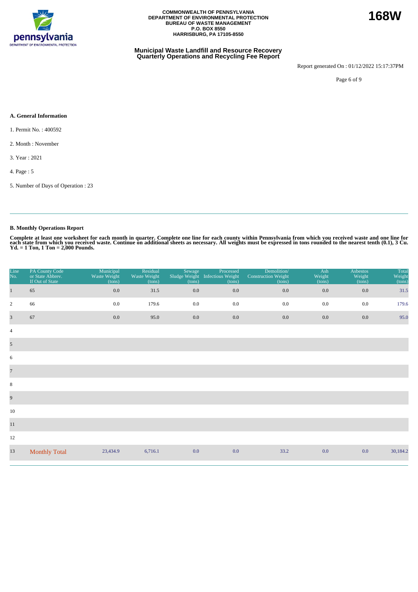

#### **Municipal Waste Landfill and Resource Recovery Quarterly Operations and Recycling Fee Report**

Report generated On : 01/12/2022 15:17:37PM

Page 6 of 9

#### **A. General Information**

- 1. Permit No. : 400592
- 2. Month : November
- 3. Year : 2021
- 4. Page : 5
- 5. Number of Days of Operation : 23

### **B. Monthly Operations Report**

| Line<br>No.             | PA County Code<br>or State Abbrev.<br>If Out of State | Municipal<br>Waste Weight<br>(tons) | Residual<br>Waste Weight<br>(tons) | Sewage<br>Sludge Weight<br>(tons) | Processed<br><b>Infectious Weight</b><br>(tons) | Demolition/<br><b>Construction Weight</b><br>(tons) | Ash<br>Weight<br>(tons) | <b>Asbestos</b><br>Weight<br>(tons) | <b>Total</b><br>Weight<br>(tons) |
|-------------------------|-------------------------------------------------------|-------------------------------------|------------------------------------|-----------------------------------|-------------------------------------------------|-----------------------------------------------------|-------------------------|-------------------------------------|----------------------------------|
| $\mathbf{1}$            | 65                                                    | 0.0                                 | 31.5                               | 0.0                               | $0.0\,$                                         | 0.0                                                 | $0.0\,$                 | 0.0                                 | 31.5                             |
| $\overline{2}$          | 66                                                    | 0.0                                 | 179.6                              | 0.0                               | 0.0                                             | 0.0                                                 | 0.0                     | 0.0                                 | 179.6                            |
| $\overline{\mathbf{3}}$ | 67                                                    | 0.0                                 | 95.0                               | 0.0                               | $0.0\,$                                         | 0.0                                                 | 0.0                     | 0.0                                 | 95.0                             |
| $\overline{4}$          |                                                       |                                     |                                    |                                   |                                                 |                                                     |                         |                                     |                                  |
| $\mathfrak{S}$          |                                                       |                                     |                                    |                                   |                                                 |                                                     |                         |                                     |                                  |
| 6                       |                                                       |                                     |                                    |                                   |                                                 |                                                     |                         |                                     |                                  |
| $\overline{7}$          |                                                       |                                     |                                    |                                   |                                                 |                                                     |                         |                                     |                                  |
| $\,8\,$                 |                                                       |                                     |                                    |                                   |                                                 |                                                     |                         |                                     |                                  |
| 9                       |                                                       |                                     |                                    |                                   |                                                 |                                                     |                         |                                     |                                  |
| 10                      |                                                       |                                     |                                    |                                   |                                                 |                                                     |                         |                                     |                                  |
| $11\,$                  |                                                       |                                     |                                    |                                   |                                                 |                                                     |                         |                                     |                                  |
| 12                      |                                                       |                                     |                                    |                                   |                                                 |                                                     |                         |                                     |                                  |
| 13                      | <b>Monthly Total</b>                                  | 23,434.9                            | 6,716.1                            | 0.0                               | 0.0                                             | 33.2                                                | 0.0                     | 0.0                                 | 30,184.2                         |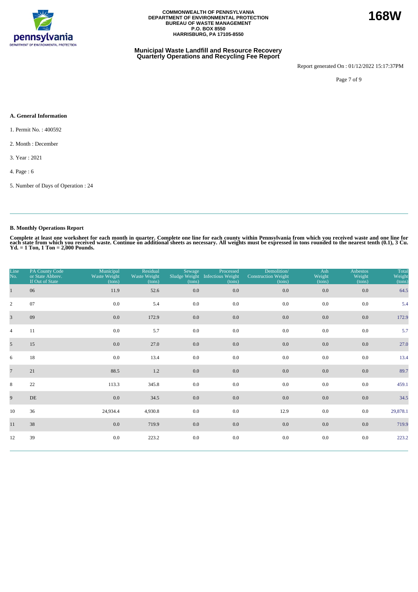

#### **Municipal Waste Landfill and Resource Recovery Quarterly Operations and Recycling Fee Report**

Report generated On : 01/12/2022 15:17:37PM

**168W**

Page 7 of 9

#### **A. General Information**

- 1. Permit No. : 400592
- 2. Month : December
- 3. Year : 2021
- 4. Page : 6
- 5. Number of Days of Operation : 24

### **B. Monthly Operations Report**

| Line<br>No.    | PA County Code<br>or State Abbrev.<br>If Out of State | Municipal<br>Waste Weight<br>(tons) | Residual<br>Waste Weight<br>(tons) | Sewage<br>(tons) | Processed<br>Sludge Weight Infectious Weight<br>(tons) | Demolition/<br><b>Construction Weight</b><br>(tons) | Ash<br>Weight<br>(tons) | <b>Asbestos</b><br>Weight<br>(tons) | Total<br>Weight<br>(tons) |
|----------------|-------------------------------------------------------|-------------------------------------|------------------------------------|------------------|--------------------------------------------------------|-----------------------------------------------------|-------------------------|-------------------------------------|---------------------------|
| $\mathbf{1}$   | 06                                                    | 11.9                                | 52.6                               | $0.0\,$          | 0.0                                                    | $0.0\,$                                             | 0.0                     | 0.0                                 | 64.5                      |
| $\overline{2}$ | 07                                                    | 0.0                                 | 5.4                                | 0.0              | 0.0                                                    | 0.0                                                 | 0.0                     | 0.0                                 | 5.4                       |
| $\overline{3}$ | 09                                                    | 0.0                                 | 172.9                              | 0.0              | 0.0                                                    | 0.0                                                 | 0.0                     | 0.0                                 | 172.9                     |
| $\overline{4}$ | 11                                                    | 0.0                                 | 5.7                                | 0.0              | 0.0                                                    | 0.0                                                 | 0.0                     | 0.0                                 | 5.7                       |
| 5 <sup>5</sup> | 15                                                    | 0.0                                 | 27.0                               | $0.0\,$          | 0.0                                                    | 0.0                                                 | 0.0                     | 0.0                                 | 27.0                      |
| 6              | 18                                                    | 0.0                                 | 13.4                               | 0.0              | 0.0                                                    | 0.0                                                 | 0.0                     | 0.0                                 | 13.4                      |
| $\overline{7}$ | 21                                                    | 88.5                                | 1.2                                | 0.0              | 0.0                                                    | 0.0                                                 | 0.0                     | 0.0                                 | 89.7                      |
| 8              | 22                                                    | 113.3                               | 345.8                              | 0.0              | 0.0                                                    | 0.0                                                 | 0.0                     | 0.0                                 | 459.1                     |
| 9              | DE                                                    | 0.0                                 | 34.5                               | 0.0              | 0.0                                                    | $0.0\,$                                             | 0.0                     | 0.0                                 | 34.5                      |
| 10             | 36                                                    | 24,934.4                            | 4,930.8                            | 0.0              | 0.0                                                    | 12.9                                                | 0.0                     | 0.0                                 | 29,878.1                  |
| 11             | 38                                                    | 0.0                                 | 719.9                              | $0.0\,$          | 0.0                                                    | $0.0\,$                                             | 0.0                     | 0.0                                 | 719.9                     |
| 12             | 39                                                    | $0.0\,$                             | 223.2                              | 0.0              | 0.0                                                    | $0.0\,$                                             | 0.0                     | 0.0                                 | 223.2                     |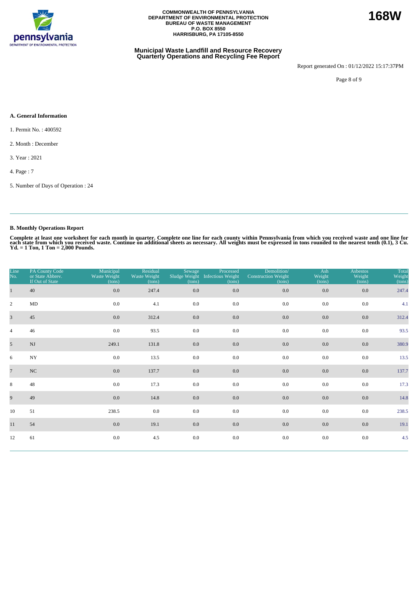

#### **Municipal Waste Landfill and Resource Recovery Quarterly Operations and Recycling Fee Report**

Report generated On : 01/12/2022 15:17:37PM

**168W**

Page 8 of 9

#### **A. General Information**

- 1. Permit No. : 400592
- 2. Month : December
- 3. Year : 2021
- 4. Page : 7
- 5. Number of Days of Operation : 24

### **B. Monthly Operations Report**

| Line<br>No.    | PA County Code<br>or State Abbrev.<br>If Out of State | Municipal<br>Waste Weight<br>(tons) | Residual<br>Waste Weight<br>(tons) | Sewage<br>(tons) | Processed<br>Sludge Weight Infectious Weight<br>(tons) | Demolition/<br><b>Construction Weight</b><br>(tons) | Ash<br>Weight<br>(tons) | Asbestos<br>Weight<br>(tons) | Total<br>Weight<br>(tons) |
|----------------|-------------------------------------------------------|-------------------------------------|------------------------------------|------------------|--------------------------------------------------------|-----------------------------------------------------|-------------------------|------------------------------|---------------------------|
|                | 40                                                    | 0.0                                 | 247.4                              | $0.0\,$          | 0.0                                                    | $0.0\,$                                             | 0.0                     | 0.0                          | 247.4                     |
| $\overline{c}$ | MD                                                    | 0.0                                 | 4.1                                | 0.0              | 0.0                                                    | 0.0                                                 | 0.0                     | 0.0                          | 4.1                       |
| $\overline{3}$ | 45                                                    | 0.0                                 | 312.4                              | 0.0              | 0.0                                                    | $0.0\,$                                             | 0.0                     | 0.0                          | 312.4                     |
| $\overline{4}$ | 46                                                    | 0.0                                 | 93.5                               | 0.0              | 0.0                                                    | 0.0                                                 | 0.0                     | 0.0                          | 93.5                      |
| 5 <sup>5</sup> | NJ                                                    | 249.1                               | 131.8                              | $0.0\,$          | $0.0\,$                                                | 0.0                                                 | $0.0\,$                 | 0.0                          | 380.9                     |
| 6              | $_{\mathrm{NY}}$                                      | 0.0                                 | 13.5                               | 0.0              | 0.0                                                    | 0.0                                                 | 0.0                     | 0.0                          | 13.5                      |
| $\overline{7}$ | NC                                                    | $0.0\,$                             | 137.7                              | $0.0\,$          | 0.0                                                    | $0.0\,$                                             | 0.0                     | 0.0                          | 137.7                     |
| 8              | 48                                                    | 0.0                                 | 17.3                               | 0.0              | 0.0                                                    | 0.0                                                 | 0.0                     | 0.0                          | 17.3                      |
| 9              | 49                                                    | 0.0                                 | 14.8                               | $0.0\,$          | 0.0                                                    | 0.0                                                 | 0.0                     | 0.0                          | 14.8                      |
| 10             | 51                                                    | 238.5                               | $0.0\,$                            | 0.0              | 0.0                                                    | 0.0                                                 | 0.0                     | 0.0                          | 238.5                     |
| 11             | 54                                                    | 0.0                                 | 19.1                               | $0.0\,$          | 0.0                                                    | 0.0                                                 | 0.0                     | 0.0                          | 19.1                      |
| 12             | 61                                                    | $0.0\,$                             | 4.5                                | 0.0              | 0.0                                                    | 0.0                                                 | 0.0                     | 0.0                          | 4.5                       |